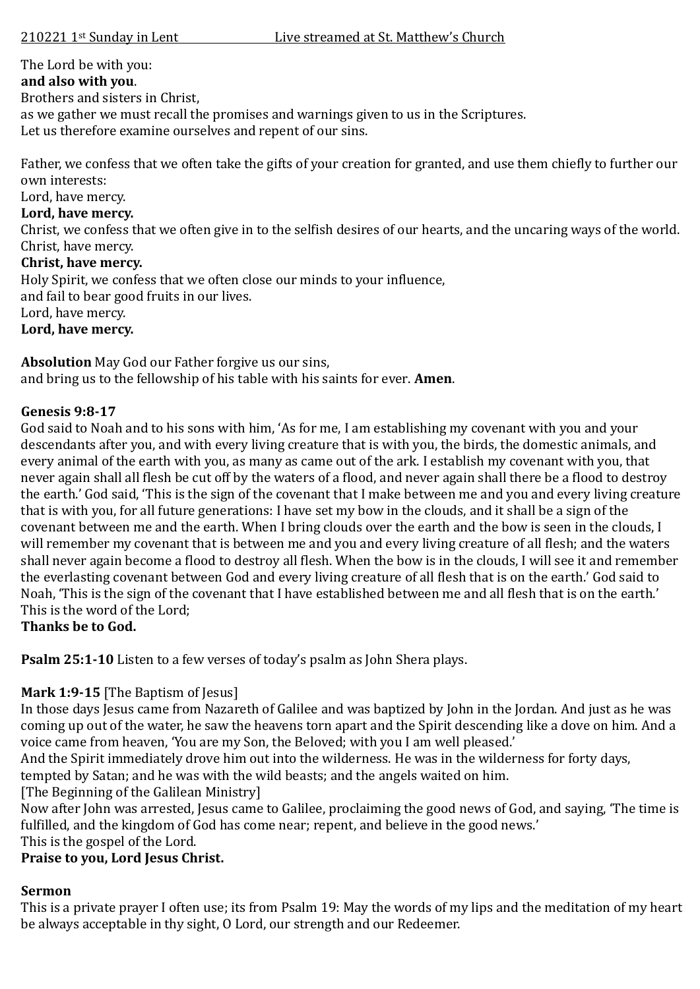# The Lord be with you:

#### **and also with you**.

Brothers and sisters in Christ,

as we gather we must recall the promises and warnings given to us in the Scriptures.

Let us therefore examine ourselves and repent of our sins.

Father, we confess that we often take the gifts of your creation for granted, and use them chiefly to further our own interests:

Lord, have mercy.

### **Lord, have mercy.**

Christ, we confess that we often give in to the selfish desires of our hearts, and the uncaring ways of the world. Christ, have mercy.

### **Christ, have mercy.**

Holy Spirit, we confess that we often close our minds to your influence,

and fail to bear good fruits in our lives.

Lord, have mercy.

### **Lord, have mercy.**

**Absolution** May God our Father forgive us our sins, and bring us to the fellowship of his table with his saints for ever. **Amen**.

### **Genesis 9:8-17**

God said to Noah and to his sons with him, 'As for me, I am establishing my covenant with you and your descendants after you, and with every living creature that is with you, the birds, the domestic animals, and every animal of the earth with you, as many as came out of the ark. I establish my covenant with you, that never again shall all flesh be cut off by the waters of a flood, and never again shall there be a flood to destroy the earth.' God said, 'This is the sign of the covenant that I make between me and you and every living creature that is with you, for all future generations: I have set my bow in the clouds, and it shall be a sign of the covenant between me and the earth. When I bring clouds over the earth and the bow is seen in the clouds, I will remember my covenant that is between me and you and every living creature of all flesh; and the waters shall never again become a flood to destroy all flesh. When the bow is in the clouds, I will see it and remember the everlasting covenant between God and every living creature of all flesh that is on the earth.' God said to Noah, 'This is the sign of the covenant that I have established between me and all flesh that is on the earth.' This is the word of the Lord;

**Thanks be to God.**

**Psalm 25:1-10** Listen to a few verses of today's psalm as John Shera plays.

# **Mark 1:9-15** [The Baptism of Jesus]

In those days Jesus came from Nazareth of Galilee and was baptized by John in the Jordan. And just as he was coming up out of the water, he saw the heavens torn apart and the Spirit descending like a dove on him. And a voice came from heaven, 'You are my Son, the Beloved; with you I am well pleased.'

And the Spirit immediately drove him out into the wilderness. He was in the wilderness for forty days,

tempted by Satan; and he was with the wild beasts; and the angels waited on him.

[The Beginning of the Galilean Ministry]

Now after John was arrested, Jesus came to Galilee, proclaiming the good news of God, and saying, 'The time is fulfilled, and the kingdom of God has come near; repent, and believe in the good news.'

This is the gospel of the Lord.

# **Praise to you, Lord Jesus Christ.**

# **Sermon**

This is a private prayer I often use; its from Psalm 19: May the words of my lips and the meditation of my heart be always acceptable in thy sight, O Lord, our strength and our Redeemer.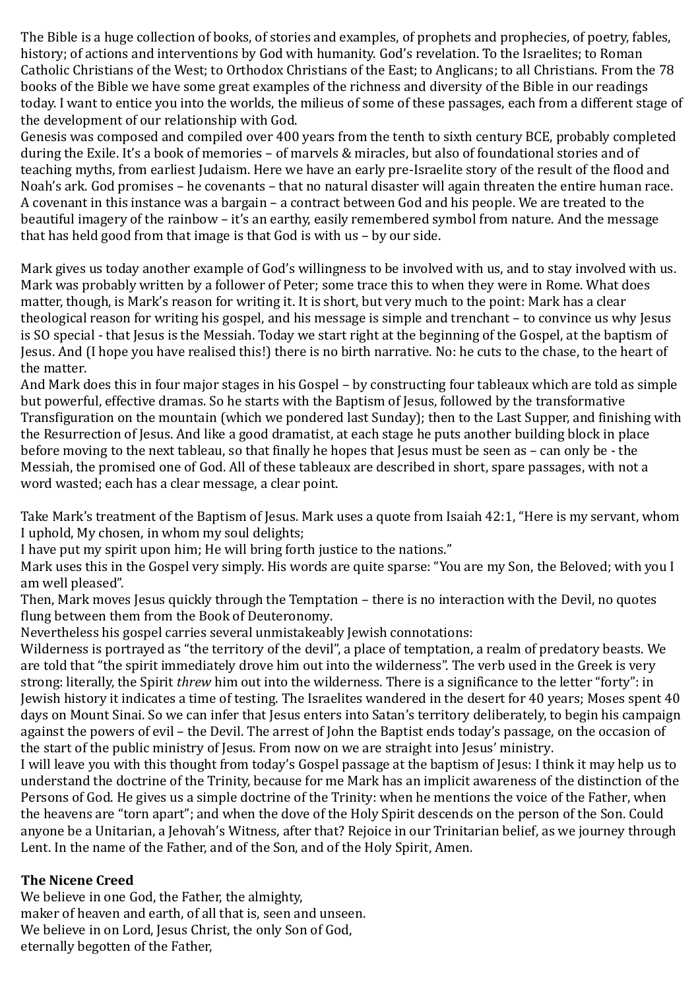The Bible is a huge collection of books, of stories and examples, of prophets and prophecies, of poetry, fables, history; of actions and interventions by God with humanity. God's revelation. To the Israelites; to Roman Catholic Christians of the West; to Orthodox Christians of the East; to Anglicans; to all Christians. From the 78 books of the Bible we have some great examples of the richness and diversity of the Bible in our readings today. I want to entice you into the worlds, the milieus of some of these passages, each from a different stage of the development of our relationship with God.

Genesis was composed and compiled over 400 years from the tenth to sixth century BCE, probably completed during the Exile. It's a book of memories – of marvels & miracles, but also of foundational stories and of teaching myths, from earliest Judaism. Here we have an early pre-Israelite story of the result of the flood and Noah's ark. God promises – he covenants – that no natural disaster will again threaten the entire human race. A covenant in this instance was a bargain – a contract between God and his people. We are treated to the beautiful imagery of the rainbow – it's an earthy, easily remembered symbol from nature. And the message that has held good from that image is that God is with us – by our side.

Mark gives us today another example of God's willingness to be involved with us, and to stay involved with us. Mark was probably written by a follower of Peter; some trace this to when they were in Rome. What does matter, though, is Mark's reason for writing it. It is short, but very much to the point: Mark has a clear theological reason for writing his gospel, and his message is simple and trenchant – to convince us why Jesus is SO special - that Jesus is the Messiah. Today we start right at the beginning of the Gospel, at the baptism of Jesus. And (I hope you have realised this!) there is no birth narrative. No: he cuts to the chase, to the heart of the matter.

And Mark does this in four major stages in his Gospel – by constructing four tableaux which are told as simple but powerful, effective dramas. So he starts with the Baptism of Jesus, followed by the transformative Transfiguration on the mountain (which we pondered last Sunday); then to the Last Supper, and finishing with the Resurrection of Jesus. And like a good dramatist, at each stage he puts another building block in place before moving to the next tableau, so that finally he hopes that Jesus must be seen as – can only be - the Messiah, the promised one of God. All of these tableaux are described in short, spare passages, with not a word wasted; each has a clear message, a clear point.

Take Mark's treatment of the Baptism of Jesus. Mark uses a quote from Isaiah 42:1, "Here is my servant, whom I uphold, My chosen, in whom my soul delights;

I have put my spirit upon him; He will bring forth justice to the nations."

Mark uses this in the Gospel very simply. His words are quite sparse: "You are my Son, the Beloved; with you I am well pleased".

Then, Mark moves Jesus quickly through the Temptation – there is no interaction with the Devil, no quotes flung between them from the Book of Deuteronomy.

Nevertheless his gospel carries several unmistakeably Jewish connotations:

Wilderness is portrayed as "the territory of the devil", a place of temptation, a realm of predatory beasts. We are told that "the spirit immediately drove him out into the wilderness". The verb used in the Greek is very strong: literally, the Spirit *threw* him out into the wilderness. There is a significance to the letter "forty": in Jewish history it indicates a time of testing. The Israelites wandered in the desert for 40 years; Moses spent 40 days on Mount Sinai. So we can infer that Jesus enters into Satan's territory deliberately, to begin his campaign against the powers of evil – the Devil. The arrest of John the Baptist ends today's passage, on the occasion of the start of the public ministry of Jesus. From now on we are straight into Jesus' ministry.

I will leave you with this thought from today's Gospel passage at the baptism of Jesus: I think it may help us to understand the doctrine of the Trinity, because for me Mark has an implicit awareness of the distinction of the Persons of God. He gives us a simple doctrine of the Trinity: when he mentions the voice of the Father, when the heavens are "torn apart"; and when the dove of the Holy Spirit descends on the person of the Son. Could anyone be a Unitarian, a Jehovah's Witness, after that? Rejoice in our Trinitarian belief, as we journey through Lent. In the name of the Father, and of the Son, and of the Holy Spirit, Amen.

# **The Nicene Creed**

We believe in one God, the Father, the almighty, maker of heaven and earth, of all that is, seen and unseen. We believe in on Lord, Jesus Christ, the only Son of God, eternally begotten of the Father,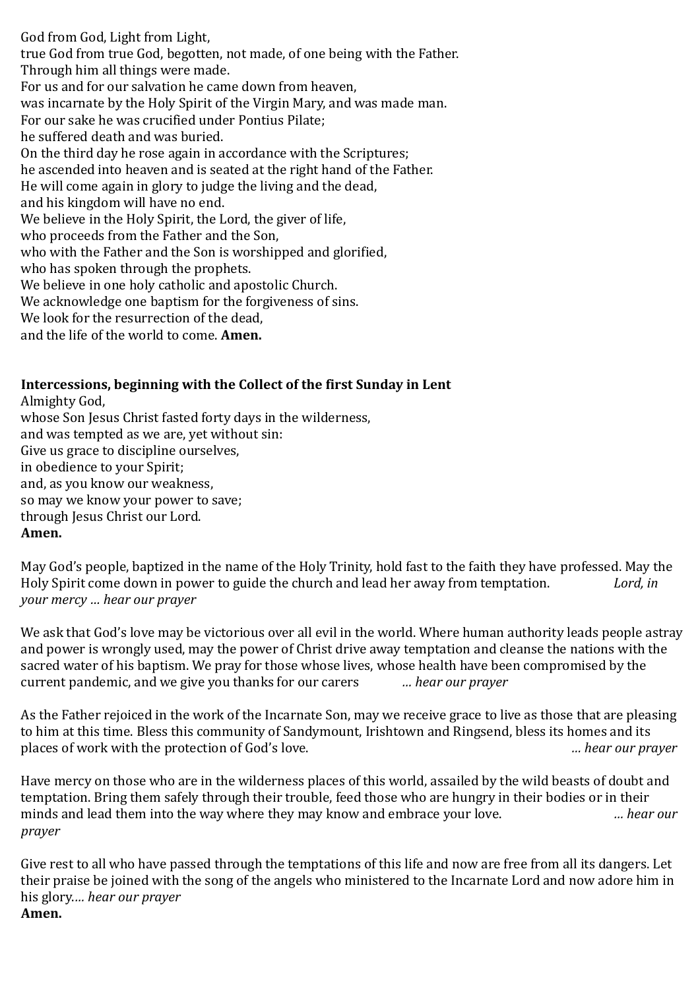God from God, Light from Light, true God from true God, begotten, not made, of one being with the Father. Through him all things were made. For us and for our salvation he came down from heaven, was incarnate by the Holy Spirit of the Virgin Mary, and was made man. For our sake he was crucified under Pontius Pilate; he suffered death and was buried. On the third day he rose again in accordance with the Scriptures; he ascended into heaven and is seated at the right hand of the Father. He will come again in glory to judge the living and the dead, and his kingdom will have no end. We believe in the Holy Spirit, the Lord, the giver of life, who proceeds from the Father and the Son, who with the Father and the Son is worshipped and glorified, who has spoken through the prophets. We believe in one holy catholic and apostolic Church. We acknowledge one baptism for the forgiveness of sins. We look for the resurrection of the dead, and the life of the world to come. **Amen.**

### **Intercessions, beginning with the Collect of the first Sunday in Lent**

Almighty God, whose Son Jesus Christ fasted forty days in the wilderness, and was tempted as we are, yet without sin: Give us grace to discipline ourselves, in obedience to your Spirit; and, as you know our weakness, so may we know your power to save; through Jesus Christ our Lord. **Amen.**

May God's people, baptized in the name of the Holy Trinity, hold fast to the faith they have professed. May the Holy Spirit come down in power to guide the church and lead her away from temptation. *Lord, in your mercy … hear our prayer*

We ask that God's love may be victorious over all evil in the world. Where human authority leads people astray and power is wrongly used, may the power of Christ drive away temptation and cleanse the nations with the sacred water of his baptism. We pray for those whose lives, whose health have been compromised by the current pandemic, and we give you thanks for our carers *… hear our prayer*

As the Father rejoiced in the work of the Incarnate Son, may we receive grace to live as those that are pleasing to him at this time. Bless this community of Sandymount, Irishtown and Ringsend, bless its homes and its places of work with the protection of God's love. *… hear our prayer*

Have mercy on those who are in the wilderness places of this world, assailed by the wild beasts of doubt and temptation. Bring them safely through their trouble, feed those who are hungry in their bodies or in their minds and lead them into the way where they may know and embrace your love. *… hear our prayer*

Give rest to all who have passed through the temptations of this life and now are free from all its dangers. Let their praise be joined with the song of the angels who ministered to the Incarnate Lord and now adore him in his glory.*… hear our prayer* **Amen.**